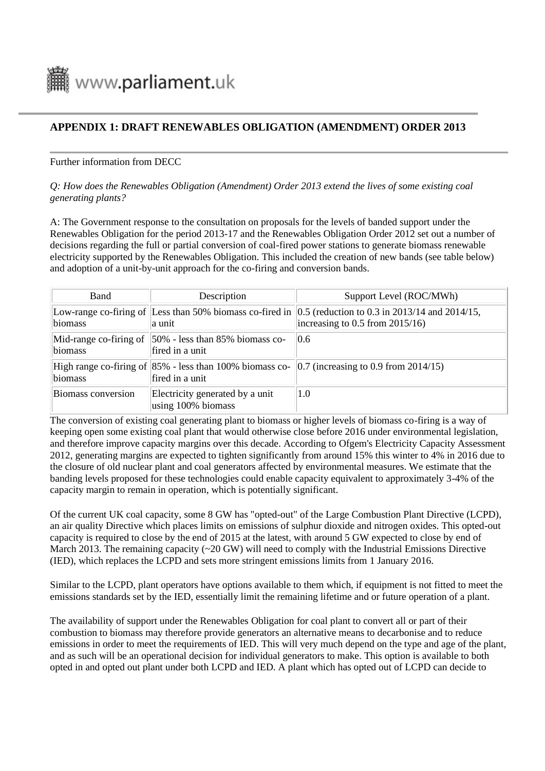

# **APPENDIX 1: DRAFT RENEWABLES OBLIGATION (AMENDMENT) ORDER 2013**

### Further information from DECC

### *Q: How does the Renewables Obligation (Amendment) Order 2013 extend the lives of some existing coal generating plants?*

A: The Government response to the consultation on proposals for the levels of banded support under the Renewables Obligation for the period 2013-17 and the Renewables Obligation Order 2012 set out a number of decisions regarding the full or partial conversion of coal-fired power stations to generate biomass renewable electricity supported by the Renewables Obligation. This included the creation of new bands (see table below) and adoption of a unit-by-unit approach for the co-firing and conversion bands.

| <b>Band</b>        | Description                                                                      | Support Level (ROC/MWh)                                                                                                                                |
|--------------------|----------------------------------------------------------------------------------|--------------------------------------------------------------------------------------------------------------------------------------------------------|
| biomass            | la unit                                                                          | Low-range co-firing of Less than 50% biomass co-fired in $\vert 0.5$ (reduction to 0.3 in 2013/14 and 2014/15,<br>increasing to $0.5$ from $2015/16$ ) |
| biomass            | Mid-range co-firing of $ 50\% $ - less than 85% biomass co-<br>fired in a unit   | 0.6                                                                                                                                                    |
| biomass            | High range co-firing of $ 85\% $ - less than 100% biomass co-<br>fired in a unit | $\vert$ 0.7 (increasing to 0.9 from 2014/15)                                                                                                           |
| Biomass conversion | Electricity generated by a unit<br>using 100% biomass                            | 1.0                                                                                                                                                    |

The conversion of existing coal generating plant to biomass or higher levels of biomass co-firing is a way of keeping open some existing coal plant that would otherwise close before 2016 under environmental legislation, and therefore improve capacity margins over this decade. According to Ofgem's Electricity Capacity Assessment 2012, generating margins are expected to tighten significantly from around 15% this winter to 4% in 2016 due to the closure of old nuclear plant and coal generators affected by environmental measures. We estimate that the banding levels proposed for these technologies could enable capacity equivalent to approximately 3-4% of the capacity margin to remain in operation, which is potentially significant.

Of the current UK coal capacity, some 8 GW has "opted-out" of the Large Combustion Plant Directive (LCPD), an air quality Directive which places limits on emissions of sulphur dioxide and nitrogen oxides. This opted-out capacity is required to close by the end of 2015 at the latest, with around 5 GW expected to close by end of March 2013. The remaining capacity  $(\sim 20 \text{ GW})$  will need to comply with the Industrial Emissions Directive (IED), which replaces the LCPD and sets more stringent emissions limits from 1 January 2016.

Similar to the LCPD, plant operators have options available to them which, if equipment is not fitted to meet the emissions standards set by the IED, essentially limit the remaining lifetime and or future operation of a plant.

The availability of support under the Renewables Obligation for coal plant to convert all or part of their combustion to biomass may therefore provide generators an alternative means to decarbonise and to reduce emissions in order to meet the requirements of IED. This will very much depend on the type and age of the plant, and as such will be an operational decision for individual generators to make. This option is available to both opted in and opted out plant under both LCPD and IED. A plant which has opted out of LCPD can decide to